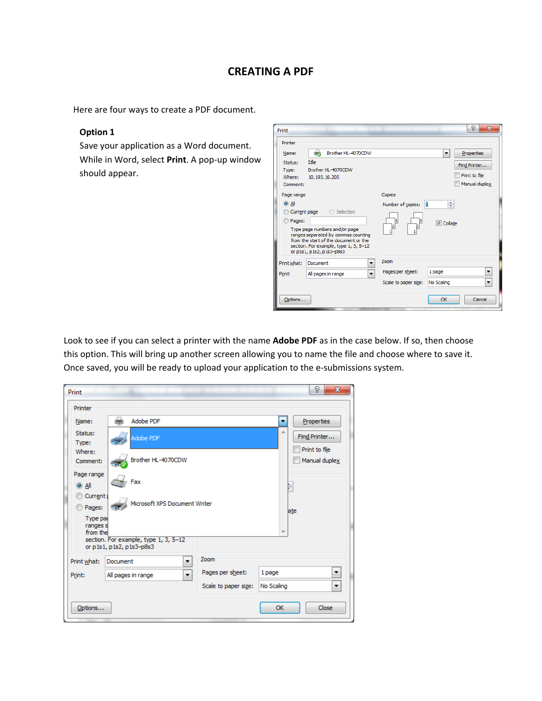# **CREATING A PDF**

Here are four ways to create a PDF document.

### **Option 1**

Save your application as a Word document. While in Word, select **Print**. A pop‐up window should appear.

| Print                                               |                                                                                                                                                                                                 |                                                  | P<br>$\overline{\mathbf{x}}$                   |
|-----------------------------------------------------|-------------------------------------------------------------------------------------------------------------------------------------------------------------------------------------------------|--------------------------------------------------|------------------------------------------------|
| Printer<br>Name:                                    | 6<br>Brother HL-4070CDW                                                                                                                                                                         |                                                  | Properties<br>▼                                |
| Status:<br>Type:<br>Where:<br>Comment:              | Idle<br>Brother HL-4070CDW<br>10.193.16.205                                                                                                                                                     |                                                  | Find Printer<br>Print to file<br>Manual duplex |
| Page range<br>$\odot$ All<br>Current page<br>Pages: | Selection<br>Type page numbers and/or page<br>ranges separated by commas counting<br>from the start of the document or the<br>section. For example, type 1, 3, 5-12<br>or p1s1, p1s2, p1s3-p8s3 | Copies<br>Number of copies:<br>β<br>β<br>þ<br>þ  | $\vert$ 1<br>÷<br><b>V</b> Collate             |
| Print what:<br>Print:                               | Document<br>۰<br>All pages in range<br>۰                                                                                                                                                        | Zoom<br>Pages per sheet:<br>Scale to paper size: | 1 page<br>▼<br>No Scaling<br>۰                 |
| Options                                             |                                                                                                                                                                                                 |                                                  | Cancel<br>OK                                   |

Look to see if you can select a printer with the name **Adobe PDF** as in the case below. If so, then choose this option. This will bring up another screen allowing you to name the file and choose where to save it. Once saved, you will be ready to upload your application to the e‐submissions system.

| Print                            |                                       |                      |            | P<br>$\mathbf{x}$              |
|----------------------------------|---------------------------------------|----------------------|------------|--------------------------------|
| Printer                          |                                       |                      |            |                                |
| Name:                            | دي)<br>Adobe PDF                      |                      | ٠          | Properties                     |
| Status:<br>Type:                 | Adobe PDF                             |                      | ∸          | Find Printer                   |
| Where:<br>Comment:               | Brother HL-4070CDW                    |                      |            | Print to file<br>Manual duplex |
| Page range<br>$\odot$ All        | Fax                                   |                      |            |                                |
| Current <sub>1</sub><br>Pages:   | Microsoft XPS Document Writer         |                      | ate        |                                |
| Type par<br>ranges s<br>from the | section. For example, type 1, 3, 5-12 |                      |            |                                |
|                                  | or p1s1, p1s2, p1s3-p8s3              |                      |            |                                |
| Print what:                      | Document<br>۰                         | Zoom                 |            |                                |
| Print:                           | ۰<br>All pages in range               | Pages per sheet:     | 1 page     | ▼                              |
|                                  |                                       | Scale to paper size: | No Scaling | ۰                              |
| Options                          |                                       |                      | OK         | Close                          |